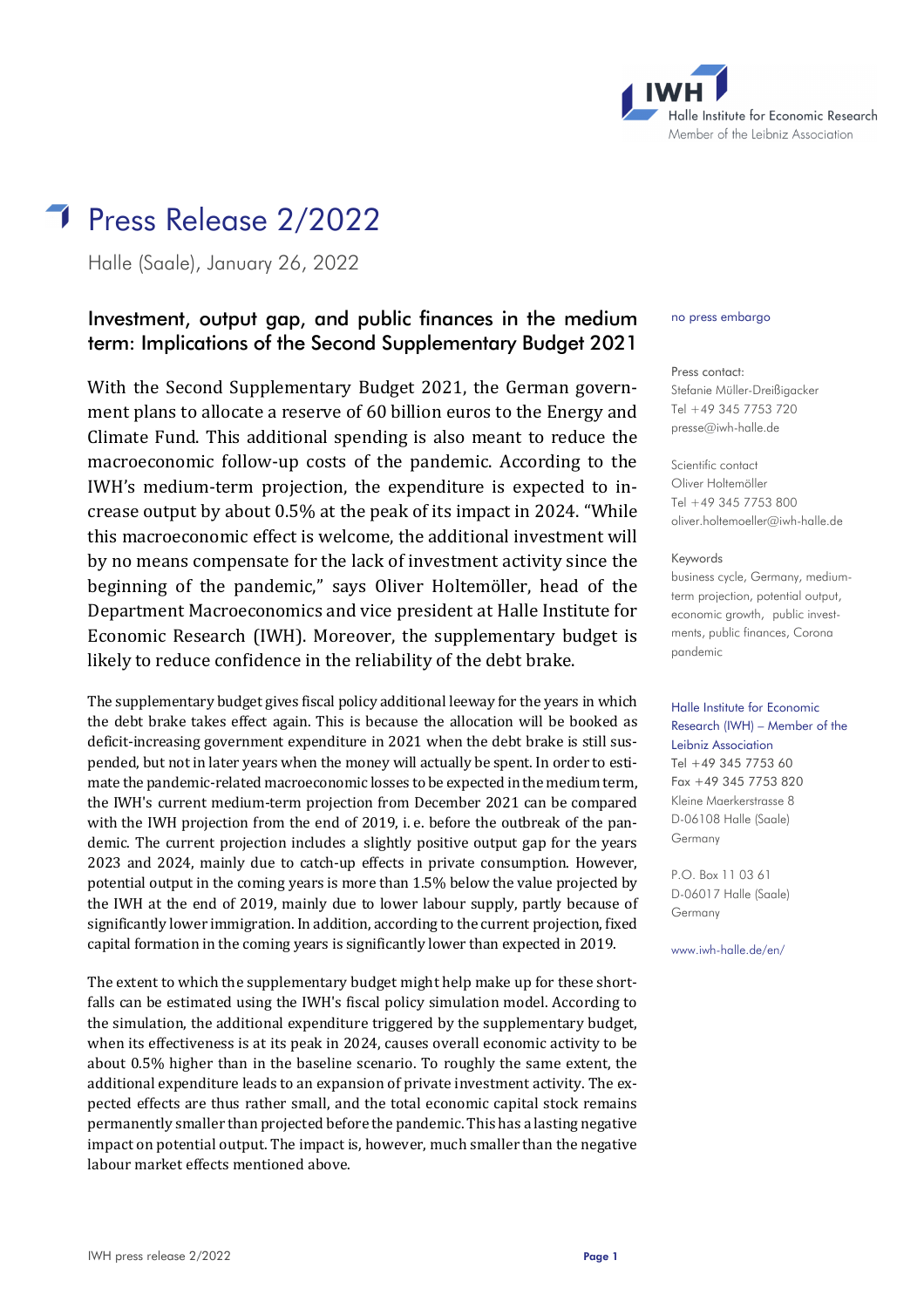

# Press Release 2/2022

Halle (Saale), January 26, 2022

## Investment, output gap, and public finances in the medium term: Implications of the Second Supplementary Budget 2021

With the Second Supplementary Budget 2021, the German government plans to allocate a reserve of 60 billion euros to the Energy and Climate Fund. This additional spending is also meant to reduce the macroeconomic follow-up costs of the pandemic. According to the IWH's medium-term projection, the expenditure is expected to increase output by about 0.5% at the peak of its impact in 2024. "While this macroeconomic effect is welcome, the additional investment will by no means compensate for the lack of investment activity since the beginning of the pandemic," says Oliver Holtemöller, head of the Department Macroeconomics and vice president at Halle Institute for Economic Research (IWH). Moreover, the supplementary budget is likely to reduce confidence in the reliability of the debt brake.

The supplementary budget gives fiscal policy additional leeway for the years in which the debt brake takes effect again. This is because the allocation will be booked as deficit-increasing government expenditure in 2021 when the debt brake is still suspended, but not in later years when the money will actually be spent. In order to estimate the pandemic-related macroeconomic losses to be expected in the medium term, the IWH's current medium-term projection from December 2021 can be compared with the IWH projection from the end of 2019, i. e. before the outbreak of the pandemic. The current projection includes a slightly positive output gap for the years 2023 and 2024, mainly due to catch-up effects in private consumption. However, potential output in the coming years is more than 1.5% below the value projected by the IWH at the end of 2019, mainly due to lower labour supply, partly because of significantly lower immigration. In addition, according to the current projection, fixed capital formation in the coming years is significantly lower than expected in 2019.

The extent to which the supplementary budget might help make up for these shortfalls can be estimated using the IWH's fiscal policy simulation model. According to the simulation, the additional expenditure triggered by the supplementary budget, when its effectiveness is at its peak in 2024, causes overall economic activity to be about 0.5% higher than in the baseline scenario. To roughly the same extent, the additional expenditure leads to an expansion of private investment activity. The expected effects are thus rather small, and the total economic capital stock remains permanently smaller than projected before the pandemic. This has a lasting negative impact on potential output. The impact is, however, much smaller than the negative labour market effects mentioned above.

#### no press embargo

Press contact: Stefanie Müller-Dreißigacker Tel +49 345 7753 720 [presse@iwh-halle.de](mailto:presse@iwh-halle.de)

Scientific contact Oliver Holtemöller Tel +49 345 7753 800 [oliver.holtemoeller@iwh-halle.de](mailto:oliver.holtemoeller@iwh-halle.de)

Keywords

business cycle, Germany, mediumterm projection, potential output, economic growth, public investments, public finances, Corona pandemic

### Halle Institute for Economic Research (IWH) – Member of the Leibniz Association Tel +49 345 7753 60 Fax +49 345 7753 820 Kleine Maerkerstrasse 8 D-06108 Halle (Saale) Germany

P.O. Box 11 03 61 D-06017 Halle (Saale) Germany

www.iwh-halle.de/en/